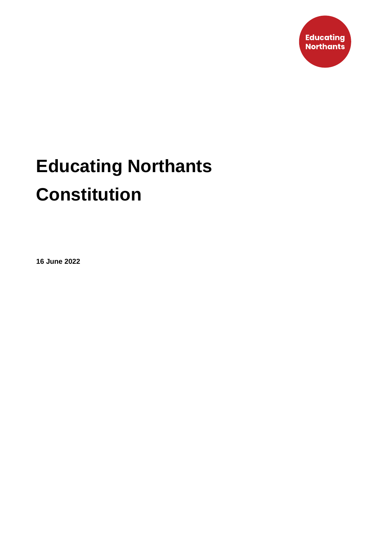

# **Educating Northants Constitution**

**16 June 2022**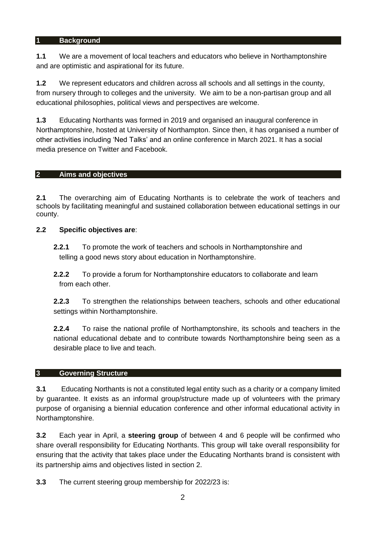#### **1 Background**

**1.1** We are a movement of local teachers and educators who believe in Northamptonshire and are optimistic and aspirational for its future.

**1.2** We represent educators and children across all schools and all settings in the county, from nursery through to colleges and the university. We aim to be a non-partisan group and all educational philosophies, political views and perspectives are welcome.

**1.3** Educating Northants was formed in 2019 and organised an inaugural conference in Northamptonshire, hosted at University of Northampton. Since then, it has organised a number of other activities including 'Ned Talks' and an online conference in March 2021. It has a social media presence on Twitter and Facebook.

## **2 Aims and objectives**

**2.1** The overarching aim of Educating Northants is to celebrate the work of teachers and schools by facilitating meaningful and sustained collaboration between educational settings in our county.

## **2.2 Specific objectives are**:

**2.2.1** To promote the work of teachers and schools in Northamptonshire and telling a good news story about education in Northamptonshire.

**2.2.2** To provide a forum for Northamptonshire educators to collaborate and learn from each other.

**2.2.3** To strengthen the relationships between teachers, schools and other educational settings within Northamptonshire.

**2.2.4** To raise the national profile of Northamptonshire, its schools and teachers in the national educational debate and to contribute towards Northamptonshire being seen as a desirable place to live and teach.

#### **3 Governing Structure**

**3.1** Educating Northants is not a constituted legal entity such as a charity or a company limited by guarantee. It exists as an informal group/structure made up of volunteers with the primary purpose of organising a biennial education conference and other informal educational activity in Northamptonshire.

**3.2** Each year in April, a **steering group** of between 4 and 6 people will be confirmed who share overall responsibility for Educating Northants. This group will take overall responsibility for ensuring that the activity that takes place under the Educating Northants brand is consistent with its partnership aims and objectives listed in section 2.

**3.3** The current steering group membership for 2022/23 is: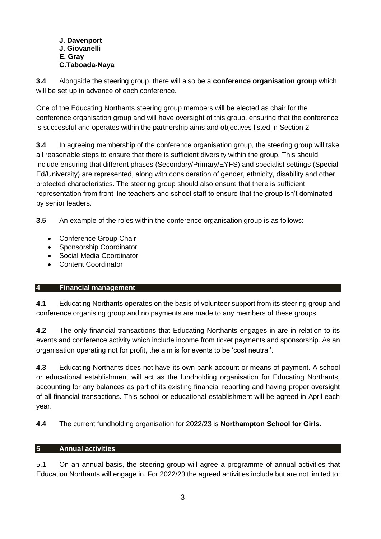#### **J. Davenport J. Giovanelli E. Gray C.Taboada-Naya**

**3.4** Alongside the steering group, there will also be a **conference organisation group** which will be set up in advance of each conference.

One of the Educating Northants steering group members will be elected as chair for the conference organisation group and will have oversight of this group, ensuring that the conference is successful and operates within the partnership aims and objectives listed in Section 2.

**3.4** In agreeing membership of the conference organisation group, the steering group will take all reasonable steps to ensure that there is sufficient diversity within the group. This should include ensuring that different phases (Secondary/Primary/EYFS) and specialist settings (Special Ed/University) are represented, along with consideration of gender, ethnicity, disability and other protected characteristics. The steering group should also ensure that there is sufficient representation from front line teachers and school staff to ensure that the group isn't dominated by senior leaders.

**3.5** An example of the roles within the conference organisation group is as follows:

- Conference Group Chair
- Sponsorship Coordinator
- Social Media Coordinator
- Content Coordinator

# **4 Financial management**

**4.1** Educating Northants operates on the basis of volunteer support from its steering group and conference organising group and no payments are made to any members of these groups.

**4.2** The only financial transactions that Educating Northants engages in are in relation to its events and conference activity which include income from ticket payments and sponsorship. As an organisation operating not for profit, the aim is for events to be 'cost neutral'.

**4.3** Educating Northants does not have its own bank account or means of payment. A school or educational establishment will act as the fundholding organisation for Educating Northants, accounting for any balances as part of its existing financial reporting and having proper oversight of all financial transactions. This school or educational establishment will be agreed in April each year.

**4.4** The current fundholding organisation for 2022/23 is **Northampton School for Girls.**

# **5 Annual activities**

5.1 On an annual basis, the steering group will agree a programme of annual activities that Education Northants will engage in. For 2022/23 the agreed activities include but are not limited to: